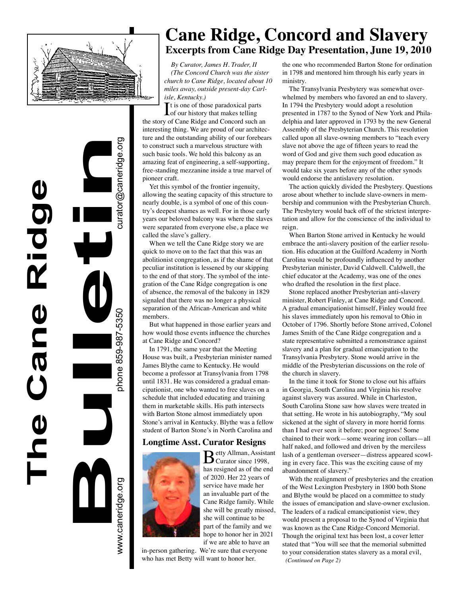



www.caneridge.org phone 859-987-5350 phone 859-987-5350 curator@caneridge.org

ohone 859-987-5350

www.caneridge.org

urator@caneridge.org

### **Cane Ridge, Concord and Slavery Excerpts from Cane Ridge Day Presentation, June 19, 2010**

*By Curator, James H. Trader, II (The Concord Church was the sister church to Cane Ridge, located about 10 miles away, outside present-day Carlisle, Kentucky.)*

It is one of those paradoxical part<br>of our history that makes telling t is one of those paradoxical parts the story of Cane Ridge and Concord such an interesting thing. We are proud of our architecture and the outstanding ability of our forebears to construct such a marvelous structure with such basic tools. We hold this balcony as an amazing feat of engineering, a self-supporting, free-standing mezzanine inside a true marvel of pioneer craft.

Yet this symbol of the frontier ingenuity, allowing the seating capacity of this structure to nearly double, is a symbol of one of this country's deepest shames as well. For in those early years our beloved balcony was where the slaves were separated from everyone else, a place we called the slave's gallery.

When we tell the Cane Ridge story we are quick to move on to the fact that this was an abolitionist congregation, as if the shame of that peculiar institution is lessened by our skipping to the end of that story. The symbol of the integration of the Cane Ridge congregation is one of absence, the removal of the balcony in 1829 signaled that there was no longer a physical separation of the African-American and white members.

But what happened in those earlier years and how would those events influence the churches at Cane Ridge and Concord?

In 1791, the same year that the Meeting House was built, a Presbyterian minister named James Blythe came to Kentucky. He would become a professor at Transylvania from 1798 until 1831. He was considered a gradual emancipationist, one who wanted to free slaves on a schedule that included educating and training them in marketable skills. His path intersects with Barton Stone almost immediately upon Stone's arrival in Kentucky. Blythe was a fellow student of Barton Stone's in North Carolina and

### **Longtime Asst. Curator Resigns**



 $\sum$  etty Allman, Assistant  $\mathbf D$  Curator since 1998, has resigned as of the end of 2020. Her 22 years of service have made her an invaluable part of the Cane Ridge family. While she will be greatly missed, she will continue to be part of the family and we hope to honor her in 2021 if we are able to have an

in-person gathering. We're sure that everyone who has met Betty will want to honor her.

the one who recommended Barton Stone for ordination in 1798 and mentored him through his early years in ministry.

The Transylvania Presbytery was somewhat overwhelmed by members who favored an end to slavery. In 1794 the Presbytery would adopt a resolution presented in 1787 to the Synod of New York and Philadelphia and later approved in 1793 by the new General Assembly of the Presbyterian Church. This resolution called upon all slave-owning members to "teach every slave not above the age of fifteen years to read the word of God and give them such good education as may prepare them for the enjoyment of freedom." It would take six years before any of the other synods would endorse the antislavery resolution.

The action quickly divided the Presbytery. Questions arose about whether to include slave-owners in membership and communion with the Presbyterian Church. The Presbytery would back off of the strictest interpretation and allow for the conscience of the individual to reign.

When Barton Stone arrived in Kentucky he would embrace the anti-slavery position of the earlier resolution. His education at the Guilford Academy in North Carolina would be profoundly influenced by another Presbyterian minister, David Caldwell. Caldwell, the chief educator at the Academy, was one of the ones who drafted the resolution in the first place.

Stone replaced another Presbyterian anti-slavery minister, Robert Finley, at Cane Ridge and Concord. A gradual emancipationist himself, Finley would free his slaves immediately upon his removal to Ohio in October of 1796. Shortly before Stone arrived, Colonel James Smith of the Cane Ridge congregation and a state representative submitted a remonstrance against slavery and a plan for gradual emancipation to the Transylvania Presbytery. Stone would arrive in the middle of the Presbyterian discussions on the role of the church in slavery.

In the time it took for Stone to close out his affairs in Georgia, South Carolina and Virginia his resolve against slavery was assured. While in Charleston, South Carolina Stone saw how slaves were treated in that setting. He wrote in his autobiography, "My soul sickened at the sight of slavery in more horrid forms than I had ever seen it before; poor negroes! Some chained to their work—some wearing iron collars—all half naked, and followed and driven by the merciless lash of a gentleman overseer—distress appeared scowling in every face. This was the exciting cause of my abandonment of slavery."

With the realignment of presbyteries and the creation of the West Lexington Presbytery in 1800 both Stone and Blythe would be placed on a committee to study the issues of emancipation and slave-owner exclusion. The leaders of a radical emancipationist view, they would present a proposal to the Synod of Virginia that was known as the Cane Ridge-Concord Memorial. Though the original text has been lost, a cover letter stated that "You will see that the memorial submitted to your consideration states slavery as a moral evil, *(Continued on Page 2)*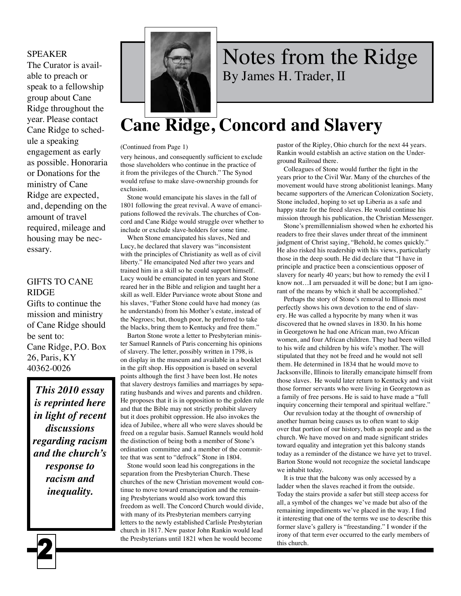### SPEAKER

The Curator is available to preach or speak to a fellowship group about Cane Ridge throughout the year. Please contact Cane Ridge to schedule a speaking engagement as early as possible. Honoraria or Donations for the ministry of Cane Ridge are expected, and, depending on the amount of travel required, mileage and housing may be necessary.

### GIFTS TO CANE RIDGE

Gifts to continue the mission and ministry of Cane Ridge should be sent to: Cane Ridge, P.O. Box 26, Paris, KY 40362-0026

*This 2010 essay is reprinted here in light of recent discussions regarding racism and the church's response to racism and inequality.*

**2**



# Notes from the Ridge By James H. Trader, II

# **Cane Ridge, Concord and Slavery**

#### (Continued from Page 1)

very heinous, and consequently sufficient to exclude those slaveholders who continue in the practice of it from the privileges of the Church." The Synod would refuse to make slave-ownership grounds for exclusion.

Stone would emancipate his slaves in the fall of 1801 following the great revival. A wave of emancipations followed the revivals. The churches of Concord and Cane Ridge would struggle over whether to include or exclude slave-holders for some time.

When Stone emancipated his slaves, Ned and Lucy, he declared that slavery was "inconsistent with the principles of Christianity as well as of civil liberty." He emancipated Ned after two years and trained him in a skill so he could support himself. Lucy would be emancipated in ten years and Stone reared her in the Bible and religion and taught her a skill as well. Elder Purviance wrote about Stone and his slaves, "Father Stone could have had money (as he understands) from his Mother's estate, instead of the Negroes; but, though poor, he preferred to take the blacks, bring them to Kentucky and free them."

Barton Stone wrote a letter to Presbyterian minister Samuel Rannels of Paris concerning his opinions of slavery. The letter, possibly written in 1798, is on display in the museum and available in a booklet in the gift shop. His opposition is based on several points although the first 3 have been lost. He notes that slavery destroys families and marriages by separating husbands and wives and parents and children. He proposes that it is in opposition to the golden rule and that the Bible may not strictly prohibit slavery but it does prohibit oppression. He also invokes the idea of Jubilee, where all who were slaves should be freed on a regular basis. Samuel Rannels would hold the distinction of being both a member of Stone's ordination committee and a member of the committee that was sent to "defrock" Stone in 1804.

Stone would soon lead his congregations in the separation from the Presbyterian Church. These churches of the new Christian movement would continue to move toward emancipation and the remaining Presbyterians would also work toward this freedom as well. The Concord Church would divide, with many of its Presbyterian members carrying letters to the newly established Carlisle Presbyterian church in 1817. New pastor John Rankin would lead the Presbyterians until 1821 when he would become

pastor of the Ripley, Ohio church for the next 44 years. Rankin would establish an active station on the Underground Railroad there.

Colleagues of Stone would further the fight in the years prior to the Civil War. Many of the churches of the movement would have strong abolitionist leanings. Many became supporters of the American Colonization Society, Stone included, hoping to set up Liberia as a safe and happy state for the freed slaves. He would continue his mission through his publication, the Christian Messenger.

Stone's premillennialism showed when he exhorted his readers to free their slaves under threat of the imminent judgment of Christ saying, "Behold, he comes quickly." He also risked his readership with his views, particularly those in the deep south. He did declare that "I have in principle and practice been a conscientious opposer of slavery for nearly 40 years; but how to remedy the evil I know not…I am persuaded it will be done; but I am ignorant of the means by which it shall be accomplished."

Perhaps the story of Stone's removal to Illinois most perfectly shows his own devotion to the end of slavery. He was called a hypocrite by many when it was discovered that he owned slaves in 1830. In his home in Georgetown he had one African man, two African women, and four African children. They had been willed to his wife and children by his wife's mother. The will stipulated that they not be freed and he would not sell them. He determined in 1834 that he would move to Jacksonville, Illinois to literally emancipate himself from those slaves. He would later return to Kentucky and visit those former servants who were living in Georgetown as a family of free persons. He is said to have made a "full inquiry concerning their temporal and spiritual welfare."

Our revulsion today at the thought of ownership of another human being causes us to often want to skip over that portion of our history, both as people and as the church. We have moved on and made significant strides toward equality and integration yet this balcony stands today as a reminder of the distance we have yet to travel. Barton Stone would not recognize the societal landscape we inhabit today.

It is true that the balcony was only accessed by a ladder when the slaves reached it from the outside. Today the stairs provide a safer but still steep access for all, a symbol of the changes we've made but also of the remaining impediments we've placed in the way. I find it interesting that one of the terms we use to describe this former slave's gallery is "freestanding." I wonder if the irony of that term ever occurred to the early members of this church.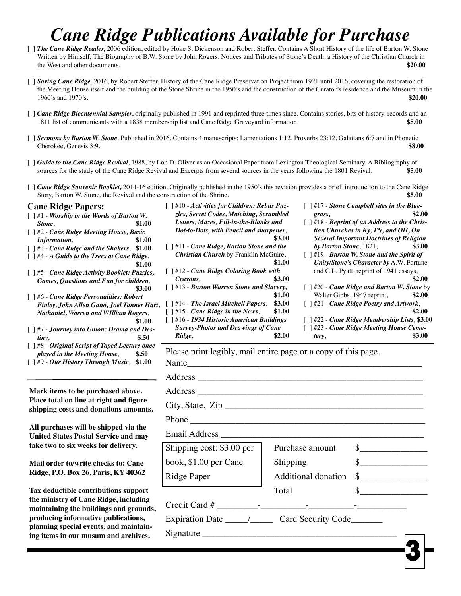# *Cane Ridge Publications Available for Purchase*

- [ ] *The Cane Ridge Reader,* 2006 edition, edited by Hoke S. Dickenson and Robert Steffer. Contains A Short History of the life of Barton W. Stone Written by Himself; The Biography of B.W. Stone by John Rogers, Notices and Tributes of Stone's Death, a History of the Christian Church in the West and other documents. **\$20.00**
- [ *] Saving Cane Ridge*, 2016, by Robert Steffer, History of the Cane Ridge Preservation Project from 1921 until 2016, covering the restoration of the Meeting House itself and the building of the Stone Shrine in the 1950's and the construction of the Curator's residence and the Museum in the 1960's and 1970's. **\$20.00**
- [ ] *Cane Ridge Bicentennial Sampler,* originally published in 1991 and reprinted three times since. Contains stories, bits of history, records and an 1811 list of communicants with a 1838 membership list and Cane Ridge Graveyard information. **\$5.00**
- [ ] *Sermons by Barton W. Stone*. Published in 2016. Contains 4 manuscripts: Lamentations 1:12, Proverbs 23:12, Galatians 6:7 and in Phonetic Cherokee, Genesis 3:9. **\$8.00**
- [ ] *Guide to the Cane Ridge Revival*, 1988, by Lon D. Oliver as an Occasional Paper from Lexington Theological Seminary. A Bibliography of sources for the study of the Cane Ridge Revival and Excerpts from several sources in the years following the 1801 Revival. **\$5.00**
- [ ] *Cane Ridge Souvenir Booklet,* 2014-16 edition. Originally published in the 1950's this revision provides a brief introduction to the Cane Ridge Story, Barton W. Stone, the Revival and the construction of the Shrine. **\$5.00**

### **Cane Ridge Papers:**

[ ] #1 - *Worship in the Words of Barton W. Stone*, **\$1.00** [ ] #2 - *Cane Ridge Meeting House, Basic Information*, **\$1.00** [ ] #3 - *Cane Ridge and the Shakers*, **\$1.00** [ ] #4 - *A Guide to the Trees at Cane Ridge,* **\$1.00** [ ] #5 - *Cane Ridge Activity Booklet: Puzzles, Games, Questions and Fun for children*, **\$3.00** [ ] #6 - *Cane Ridge Personalities: Robert Finley, John Allen Gano, Joel Tanner Hart, Nathaniel, Warren and WIlliam Rogers*, **\$1.00** [ ] #7 - *Journey into Union: Drama and Destiny*, **\$.50** [ ] #8 - *Original Script of Taped Lecture once played in the Meeting House*, **\$.50** [ ] #9 - *Our History Through Music,* **\$1.00**

**Mark items to be purchased above. Place total on line at right and figure shipping costs and donations amounts.**

**All purchases will be shipped via the United States Postal Service and may take two to six weeks for delivery.**

**Mail order to/write checks to: Cane Ridge, P.O. Box 26, Paris, KY 40362**

**Tax deductible contributions support the ministry of Cane Ridge, including maintaining the buildings and grounds, producing informative publications, planning special events, and maintaining items in our musum and archives.**

- [ ] #10 - *Activities for Children: Rebus Puzzles, Secret Codes, Matching, Scrambled Letters, Mazes, Fill-in-the-Blanks and Dot-to-Dots, with Pencil and sharpener*, **\$3.00** [ ] #11 - *Cane Ridge, Barton Stone and the Christian Church* by Franklin McGuire, **\$1.00** [ ] #12 - *Cane Ridge Coloring Book with Crayons,* **\$3.00** [ ] #13 - *Barton Warren Stone and Slavery,* **\$1.00** [ ] #14 - *The Israel Mitchell Papers*, **\$3.00** [ ] #15 - *Cane Ridge in the News*, **\$1.00** [ ] #16 - *1934 Historic American Buildings* 
	- *Survey-Photos and Drawings of Cane Ridge*, **\$2.00**
- [ ] #17 *Stone Campbell sites in the Bluegrass,* **\$2.00**
- [ ] #18 *Reprint of an Address to the Christian Churches in Ky, TN, and OH, On Several Important Doctrines of Religion by Barton Stone*, 1821, **\$3.00**
- [ ] #19 *Barton W. Stone and the Spirit of Unity/Stone's Character by* A.W. Fortune and C.L. Pyatt, reprint of 1941 essays, **\$2.00**
- [ ] #20 *Cane Ridge and Barton W. Stone* by Walter Gibbs, 1947 reprint, **\$2.00**
- [ ] #21 *Cane Ridge Poetry and Artwork*,
	- **\$2.00**
- [ ] #22 *Cane Ridge Membership Lists,* **\$3.00**
- [ ] #23 *Cane Ridge Meeting House Ceme-*

*tery*, **\$3.00**

Please print legibly, mail entire page or a copy of this page.

| City, State, Zip    |                                                                                                                                                                                                                                                                                                                                                                     |
|---------------------|---------------------------------------------------------------------------------------------------------------------------------------------------------------------------------------------------------------------------------------------------------------------------------------------------------------------------------------------------------------------|
|                     |                                                                                                                                                                                                                                                                                                                                                                     |
|                     |                                                                                                                                                                                                                                                                                                                                                                     |
| Purchase amount     | $\sim$                                                                                                                                                                                                                                                                                                                                                              |
| Shipping            | $\begin{picture}(20,10) \put(0,0){\vector(1,0){100}} \put(15,0){\vector(1,0){100}} \put(15,0){\vector(1,0){100}} \put(15,0){\vector(1,0){100}} \put(15,0){\vector(1,0){100}} \put(15,0){\vector(1,0){100}} \put(15,0){\vector(1,0){100}} \put(15,0){\vector(1,0){100}} \put(15,0){\vector(1,0){100}} \put(15,0){\vector(1,0){100}} \put(15,0){\vector(1,0){100}} \$ |
| Additional donation | $\frac{1}{2}$                                                                                                                                                                                                                                                                                                                                                       |
| Total               | $\sim$                                                                                                                                                                                                                                                                                                                                                              |
|                     |                                                                                                                                                                                                                                                                                                                                                                     |
|                     |                                                                                                                                                                                                                                                                                                                                                                     |
|                     |                                                                                                                                                                                                                                                                                                                                                                     |
|                     |                                                                                                                                                                                                                                                                                                                                                                     |
|                     |                                                                                                                                                                                                                                                                                                                                                                     |
|                     | Name                                                                                                                                                                                                                                                                                                                                                                |